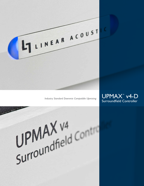

*Industry Standard Downmix Compatible Upmixing* 



UPMAX<sup>V4</sup><br>Surroundfield Contra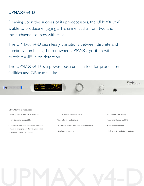# UPMAX® v4-D

Drawing upon the success of its predecessors, the UPMAX v4-D is able to produce engaging 5.1-channel audio from two and three-channel sources with ease.

The UPMAX v4-D seamlessly transitions between discrete and upmix by combining the renowned UPMAX algorithm with AutoMAX-IITM auto detection.

The UPMAX v4-D is a powerhouse unit, perfect for production facilities and OB trucks alike.



# **UPMAX v4-D features:**

- Industry standard UPMAX algorithm
- Fully downmix compatible
- Upmixes stereo, dual mono, and 3-channel inputs to engaging 5.1 channels, automatic bypass of 5.1 channel content
- ITU BS.1770-3 loudness meter
- •Cost effective and reliable
- Automatic, Manual, GPI, or metadata control
- Dual power supplies
- Extremely low latency
- AES and HD/SD-SDI I/O
- LoRo/LtRt encoder
- Full-time 5.1 and stereo outputs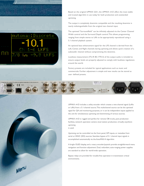

 $Me<sub>nu</sub>$ 

Based on the original UPMAX 2251, the UPMAX v4-D offers the most stable and trusted algorithm in use today for both production and unattended upmixing.

The output is completely downmix compatible and the resulting downmix is nearly indistinguishable from the original two channel input.

The upmixed "Surroundfield" can be infinitely adjusted via the Center Channel Width control and the Surround Depth control. This allows programming ranging from simple stereo to LtRt to be appropriately reproduced using a 5.1-channel playback system.

An optional bass enhancement signal for the LFE channel is derived from the Left, Center, and Right channels during upmixing and allows quick creation of a subwoofer channel without compromising the downmix.

Loudness measurement (ITU-R BS.1770-3) of the output audio is included to ensure output levels are properly adjusted to comply with loudness regulations around the world.

Factory presets are included for typical applications such as music and commercials. Further adjustment is simple and new results can be stored as user- defined presets.



UPMAX v4-D includes a utility encoder which creates a two-channel signal (LoRo or LtRt) from a 5.1-channel source. This multichannel source can be the upmixed signal for QA and monitoring purposes, or it can be independent inputs applied to the unit for simultaneous upmixing and downmixing of various sources.

UPMAX v4-D is rugged and perfect for remote OB trucks, post production facilities, network operation centers, local station production, virtually anywhere upmixing is used.

Upmixing can be controlled via the front panel, GPI inputs, or metadata from serial or VANC (SDI) sources. Seamless bypass of 5.1 channel input signals is accomplished automatically via the AutoMAX-II algorithm

A bright OLED display, and a rotary encoder/joystick provide straightforward menu navigation and function adjustment. Dual, redundant, auto-ranging power supplies are standard to allow for world-wide operation.

Bypass relays are provided for trouble-free operation in transmission critical environments.